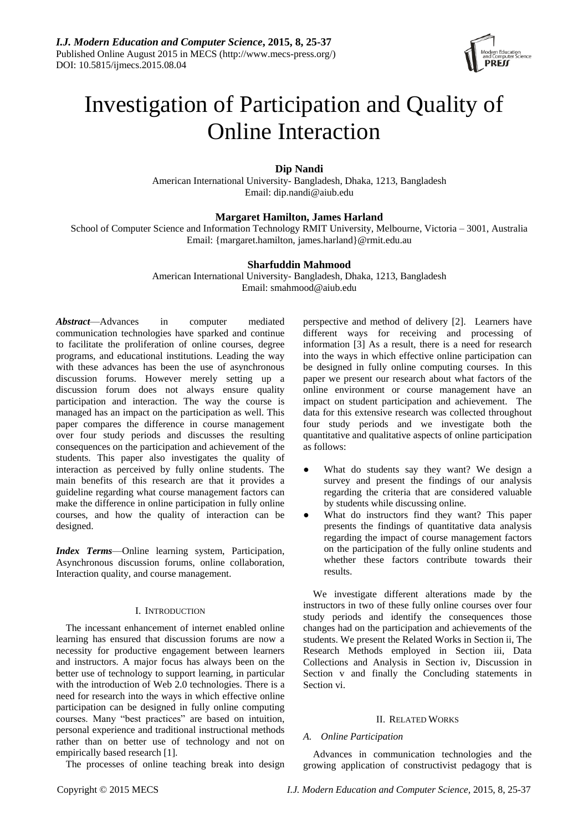

# Investigation of Participation and Quality of Online Interaction

# **Dip Nandi**

American International University- Bangladesh, Dhaka, 1213, Bangladesh Email: [dip.nandi@aiub.edu](mailto:dip.nandi@aiub.edu)

## **Margaret Hamilton, James Harland**

School of Computer Science and Information Technology RMIT University, Melbourne, Victoria – 3001, Australia Email: {margaret.hamilton, james.harland}@rmit.edu.au

## **Sharfuddin Mahmood**

American International University- Bangladesh, Dhaka, 1213, Bangladesh Email: smahmood@aiub.edu

*Abstract*—Advances in computer mediated communication technologies have sparked and continue to facilitate the proliferation of online courses, degree programs, and educational institutions. Leading the way with these advances has been the use of asynchronous discussion forums. However merely setting up a discussion forum does not always ensure quality participation and interaction. The way the course is managed has an impact on the participation as well. This paper compares the difference in course management over four study periods and discusses the resulting consequences on the participation and achievement of the students. This paper also investigates the quality of interaction as perceived by fully online students. The main benefits of this research are that it provides a guideline regarding what course management factors can make the difference in online participation in fully online courses, and how the quality of interaction can be designed.

*Index Terms*—Online learning system, Participation, Asynchronous discussion forums, online collaboration, Interaction quality, and course management.

## I. INTRODUCTION

The incessant enhancement of internet enabled online learning has ensured that discussion forums are now a necessity for productive engagement between learners and instructors. A major focus has always been on the better use of technology to support learning, in particular with the introduction of Web 2.0 technologies. There is a need for research into the ways in which effective online participation can be designed in fully online computing courses. Many "best practices" are based on intuition, personal experience and traditional instructional methods rather than on better use of technology and not on empirically based research [1].

The processes of online teaching break into design

perspective and method of delivery [2]. Learners have different ways for receiving and processing of information [3] As a result, there is a need for research into the ways in which effective online participation can be designed in fully online computing courses. In this paper we present our research about what factors of the online environment or course management have an impact on student participation and achievement. The data for this extensive research was collected throughout four study periods and we investigate both the quantitative and qualitative aspects of online participation as follows:

- What do students say they want? We design a survey and present the findings of our analysis regarding the criteria that are considered valuable by students while discussing online.
- What do instructors find they want? This paper presents the findings of quantitative data analysis regarding the impact of course management factors on the participation of the fully online students and whether these factors contribute towards their results.

We investigate different alterations made by the instructors in two of these fully online courses over four study periods and identify the consequences those changes had on the participation and achievements of the students. We present the Related Works in Section ii, The Research Methods employed in Section iii, Data Collections and Analysis in Section iv, Discussion in Section v and finally the Concluding statements in Section vi.

#### II. RELATED WORKS

#### *A. Online Participation*

Advances in communication technologies and the growing application of constructivist pedagogy that is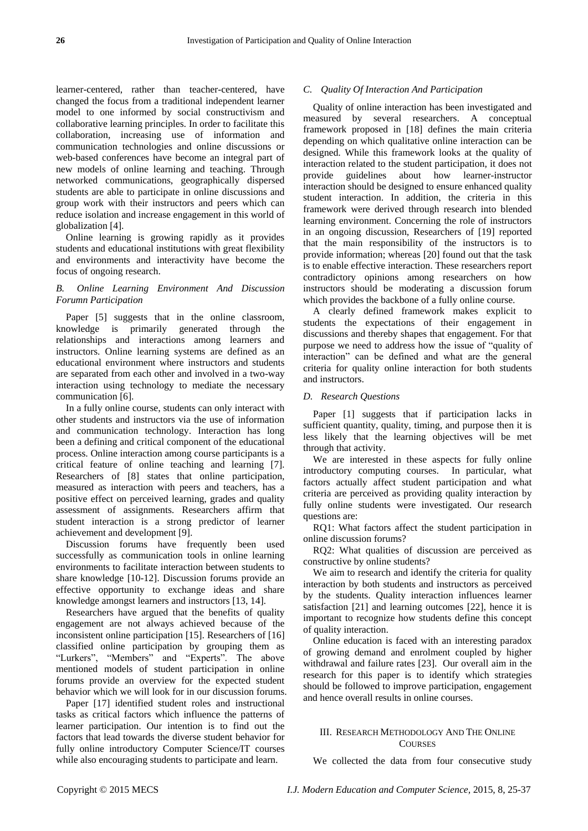learner-centered, rather than teacher-centered, have changed the focus from a traditional independent learner model to one informed by social constructivism and collaborative learning principles. In order to facilitate this collaboration, increasing use of information and communication technologies and online discussions or web-based conferences have become an integral part of new models of online learning and teaching. Through networked communications, geographically dispersed students are able to participate in online discussions and group work with their instructors and peers which can reduce isolation and increase engagement in this world of globalization [4].

Online learning is growing rapidly as it provides students and educational institutions with great flexibility and environments and interactivity have become the focus of ongoing research.

## *B. Online Learning Environment And Discussion Forumn Participation*

Paper [5] suggests that in the online classroom, knowledge is primarily generated through the relationships and interactions among learners and instructors. Online learning systems are defined as an educational environment where instructors and students are separated from each other and involved in a two-way interaction using technology to mediate the necessary communication [6].

In a fully online course, students can only interact with other students and instructors via the use of information and communication technology. Interaction has long been a defining and critical component of the educational process. Online interaction among course participants is a critical feature of online teaching and learning [7]. Researchers of [8] states that online participation, measured as interaction with peers and teachers, has a positive effect on perceived learning, grades and quality assessment of assignments. Researchers affirm that student interaction is a strong predictor of learner achievement and development [9].

Discussion forums have frequently been used successfully as communication tools in online learning environments to facilitate interaction between students to share knowledge [10-12]. Discussion forums provide an effective opportunity to exchange ideas and share knowledge amongst learners and instructors [13, 14].

Researchers have argued that the benefits of quality engagement are not always achieved because of the inconsistent online participation [15]. Researchers of [16] classified online participation by grouping them as "Lurkers", "Members" and "Experts". The above mentioned models of student participation in online forums provide an overview for the expected student behavior which we will look for in our discussion forums.

Paper [17] identified student roles and instructional tasks as critical factors which influence the patterns of learner participation. Our intention is to find out the factors that lead towards the diverse student behavior for fully online introductory Computer Science/IT courses while also encouraging students to participate and learn.

# *C. Quality Of Interaction And Participation*

Quality of online interaction has been investigated and measured by several researchers. A conceptual framework proposed in [18] defines the main criteria depending on which qualitative online interaction can be designed. While this framework looks at the quality of interaction related to the student participation, it does not provide guidelines about how learner-instructor interaction should be designed to ensure enhanced quality student interaction. In addition, the criteria in this framework were derived through research into blended learning environment. Concerning the role of instructors in an ongoing discussion, Researchers of [19] reported that the main responsibility of the instructors is to provide information; whereas [20] found out that the task is to enable effective interaction. These researchers report contradictory opinions among researchers on how instructors should be moderating a discussion forum which provides the backbone of a fully online course.

A clearly defined framework makes explicit to students the expectations of their engagement in discussions and thereby shapes that engagement. For that purpose we need to address how the issue of "quality of interaction" can be defined and what are the general criteria for quality online interaction for both students and instructors.

#### *D. Research Questions*

Paper [1] suggests that if participation lacks in sufficient quantity, quality, timing, and purpose then it is less likely that the learning objectives will be met through that activity.

We are interested in these aspects for fully online introductory computing courses. In particular, what factors actually affect student participation and what criteria are perceived as providing quality interaction by fully online students were investigated. Our research questions are:

RQ1: What factors affect the student participation in online discussion forums?

RQ2: What qualities of discussion are perceived as constructive by online students?

We aim to research and identify the criteria for quality interaction by both students and instructors as perceived by the students. Quality interaction influences learner satisfaction [21] and learning outcomes [22], hence it is important to recognize how students define this concept of quality interaction.

Online education is faced with an interesting paradox of growing demand and enrolment coupled by higher withdrawal and failure rates [23]. Our overall aim in the research for this paper is to identify which strategies should be followed to improve participation, engagement and hence overall results in online courses.

# III. RESEARCH METHODOLOGY AND THE ONLINE **COUPSES**

We collected the data from four consecutive study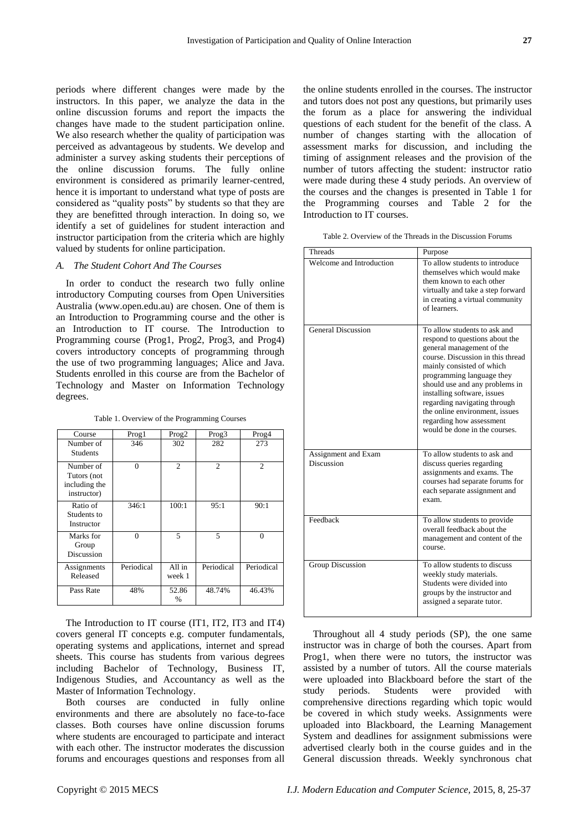periods where different changes were made by the instructors. In this paper, we analyze the data in the online discussion forums and report the impacts the changes have made to the student participation online. We also research whether the quality of participation was perceived as advantageous by students. We develop and administer a survey asking students their perceptions of the online discussion forums. The fully online environment is considered as primarily learner-centred, hence it is important to understand what type of posts are considered as "quality posts" by students so that they are they are benefitted through interaction. In doing so, we identify a set of guidelines for student interaction and instructor participation from the criteria which are highly valued by students for online participation.

# *A. The Student Cohort And The Courses*

In order to conduct the research two fully online introductory Computing courses from Open Universities Australia (www.open.edu.au) are chosen. One of them is an Introduction to Programming course and the other is an Introduction to IT course. The Introduction to Programming course (Prog1, Prog2, Prog3, and Prog4) covers introductory concepts of programming through the use of two programming languages; Alice and Java. Students enrolled in this course are from the Bachelor of Technology and Master on Information Technology degrees.

Table 1. Overview of the Programming Courses

| Course                                                   | Prog1      | Prog <sub>2</sub> | Prog <sub>3</sub> | Prog4          |
|----------------------------------------------------------|------------|-------------------|-------------------|----------------|
| Number of<br><b>Students</b>                             | 346        | 302               | 282               | 273            |
| Number of<br>Tutors (not<br>including the<br>instructor) | $\theta$   | $\overline{c}$    | $\overline{c}$    | $\overline{c}$ |
| Ratio of<br>Students to<br>Instructor                    | 346:1      | 100:1             | 95:1              | 90:1           |
| Marks for<br>Group<br>Discussion                         | $\theta$   | 5                 | 5                 | $\Omega$       |
| Assignments<br>Released                                  | Periodical | All in<br>week 1  | Periodical        | Periodical     |
| Pass Rate                                                | 48%        | 52.86<br>$\%$     | 48.74%            | 46.43%         |

The Introduction to IT course (IT1, IT2, IT3 and IT4) covers general IT concepts e.g. computer fundamentals, operating systems and applications, internet and spread sheets. This course has students from various degrees including Bachelor of Technology, Business IT, Indigenous Studies, and Accountancy as well as the Master of Information Technology.

Both courses are conducted in fully online environments and there are absolutely no face-to-face classes. Both courses have online discussion forums where students are encouraged to participate and interact with each other. The instructor moderates the discussion forums and encourages questions and responses from all

the online students enrolled in the courses. The instructor and tutors does not post any questions, but primarily uses the forum as a place for answering the individual questions of each student for the benefit of the class. A number of changes starting with the allocation of assessment marks for discussion, and including the timing of assignment releases and the provision of the number of tutors affecting the student: instructor ratio were made during these 4 study periods. An overview of the courses and the changes is presented in Table 1 for the Programming courses and Table 2 for the Introduction to IT courses.

Table 2. Overview of the Threads in the Discussion Forums

| Threads                           | Purpose                                                                                                                                                                                                                                                                                                                                                                                    |
|-----------------------------------|--------------------------------------------------------------------------------------------------------------------------------------------------------------------------------------------------------------------------------------------------------------------------------------------------------------------------------------------------------------------------------------------|
| Welcome and Introduction          | To allow students to introduce<br>themselves which would make<br>them known to each other<br>virtually and take a step forward<br>in creating a virtual community<br>of learners.                                                                                                                                                                                                          |
| <b>General Discussion</b>         | To allow students to ask and<br>respond to questions about the<br>general management of the<br>course. Discussion in this thread<br>mainly consisted of which<br>programming language they<br>should use and any problems in<br>installing software, issues<br>regarding navigating through<br>the online environment, issues<br>regarding how assessment<br>would be done in the courses. |
| Assignment and Exam<br>Discussion | To allow students to ask and<br>discuss queries regarding<br>assignments and exams. The<br>courses had separate forums for<br>each separate assignment and<br>exam.                                                                                                                                                                                                                        |
| Feedback                          | To allow students to provide<br>overall feedback about the<br>management and content of the<br>course.                                                                                                                                                                                                                                                                                     |
| Group Discussion                  | To allow students to discuss<br>weekly study materials.<br>Students were divided into<br>groups by the instructor and<br>assigned a separate tutor.                                                                                                                                                                                                                                        |

Throughout all 4 study periods (SP), the one same instructor was in charge of both the courses. Apart from Prog1, when there were no tutors, the instructor was assisted by a number of tutors. All the course materials were uploaded into Blackboard before the start of the study periods. Students were provided with comprehensive directions regarding which topic would be covered in which study weeks. Assignments were uploaded into Blackboard, the Learning Management System and deadlines for assignment submissions were advertised clearly both in the course guides and in the General discussion threads. Weekly synchronous chat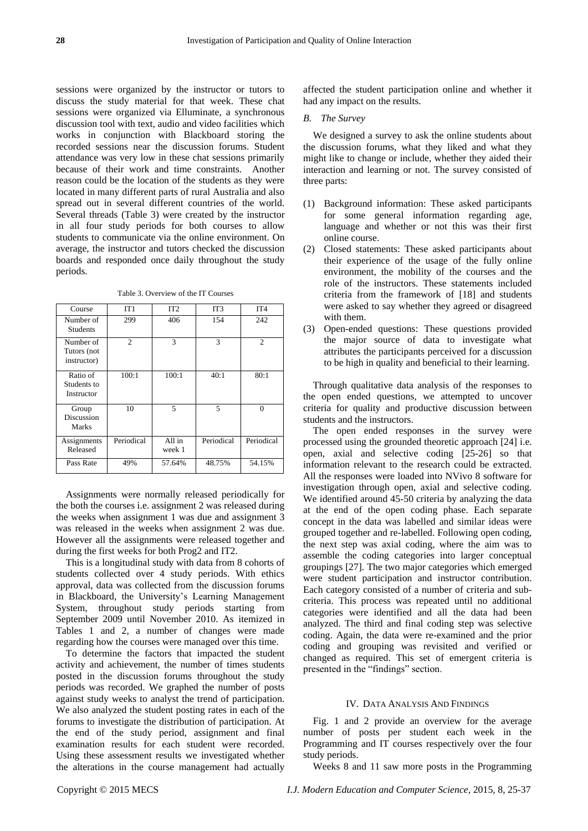sessions were organized by the instructor or tutors to discuss the study material for that week. These chat sessions were organized via Elluminate, a synchronous discussion tool with text, audio and video facilities which works in conjunction with Blackboard storing the recorded sessions near the discussion forums. Student attendance was very low in these chat sessions primarily because of their work and time constraints. Another reason could be the location of the students as they were located in many different parts of rural Australia and also spread out in several different countries of the world. Several threads (Table 3) were created by the instructor in all four study periods for both courses to allow students to communicate via the online environment. On average, the instructor and tutors checked the discussion boards and responded once daily throughout the study periods.

Table 3. Overview of the IT Courses

| Course                                  | IT1            | IT2              | IT <sub>3</sub>          | IT <sub>4</sub> |
|-----------------------------------------|----------------|------------------|--------------------------|-----------------|
| Number of<br><b>Students</b>            | 299            | 406              | 154                      | 242             |
| Number of<br>Tutors (not<br>instructor) | $\overline{2}$ | 3                | 3                        | 2               |
| Ratio of<br>Students to<br>Instructor   | 100:1          | 100:1            | 40:1                     | 80:1            |
| Group<br>Discussion<br><b>Marks</b>     | 10             | 5                | $\overline{\phantom{0}}$ | $\Omega$        |
| Assignments<br>Released                 | Periodical     | All in<br>week 1 | Periodical               | Periodical      |
| Pass Rate                               | 49%            | 57.64%           | 48.75%                   | 54.15%          |

Assignments were normally released periodically for the both the courses i.e. assignment 2 was released during the weeks when assignment 1 was due and assignment 3 was released in the weeks when assignment 2 was due. However all the assignments were released together and during the first weeks for both Prog2 and IT2.

This is a longitudinal study with data from 8 cohorts of students collected over 4 study periods. With ethics approval, data was collected from the discussion forums in Blackboard, the University's Learning Management System, throughout study periods starting from September 2009 until November 2010. As itemized in Tables 1 and 2, a number of changes were made regarding how the courses were managed over this time.

To determine the factors that impacted the student activity and achievement, the number of times students posted in the discussion forums throughout the study periods was recorded. We graphed the number of posts against study weeks to analyst the trend of participation. We also analyzed the student posting rates in each of the forums to investigate the distribution of participation. At the end of the study period, assignment and final examination results for each student were recorded. Using these assessment results we investigated whether the alterations in the course management had actually

affected the student participation online and whether it had any impact on the results.

#### *B. The Survey*

We designed a survey to ask the online students about the discussion forums, what they liked and what they might like to change or include, whether they aided their interaction and learning or not. The survey consisted of three parts:

- (1) Background information: These asked participants for some general information regarding age, language and whether or not this was their first online course.
- (2) Closed statements: These asked participants about their experience of the usage of the fully online environment, the mobility of the courses and the role of the instructors. These statements included criteria from the framework of [18] and students were asked to say whether they agreed or disagreed with them.
- (3) Open-ended questions: These questions provided the major source of data to investigate what attributes the participants perceived for a discussion to be high in quality and beneficial to their learning.

Through qualitative data analysis of the responses to the open ended questions, we attempted to uncover criteria for quality and productive discussion between students and the instructors.

The open ended responses in the survey were processed using the grounded theoretic approach [24] i.e. open, axial and selective coding [25-26] so that information relevant to the research could be extracted. All the responses were loaded into NVivo 8 software for investigation through open, axial and selective coding. We identified around 45-50 criteria by analyzing the data at the end of the open coding phase. Each separate concept in the data was labelled and similar ideas were grouped together and re-labelled. Following open coding, the next step was axial coding, where the aim was to assemble the coding categories into larger conceptual groupings [27]. The two major categories which emerged were student participation and instructor contribution. Each category consisted of a number of criteria and subcriteria. This process was repeated until no additional categories were identified and all the data had been analyzed. The third and final coding step was selective coding. Again, the data were re-examined and the prior coding and grouping was revisited and verified or changed as required. This set of emergent criteria is presented in the "findings" section.

#### IV. DATA ANALYSIS AND FINDINGS

Fig. 1 and 2 provide an overview for the average number of posts per student each week in the Programming and IT courses respectively over the four study periods.

Weeks 8 and 11 saw more posts in the Programming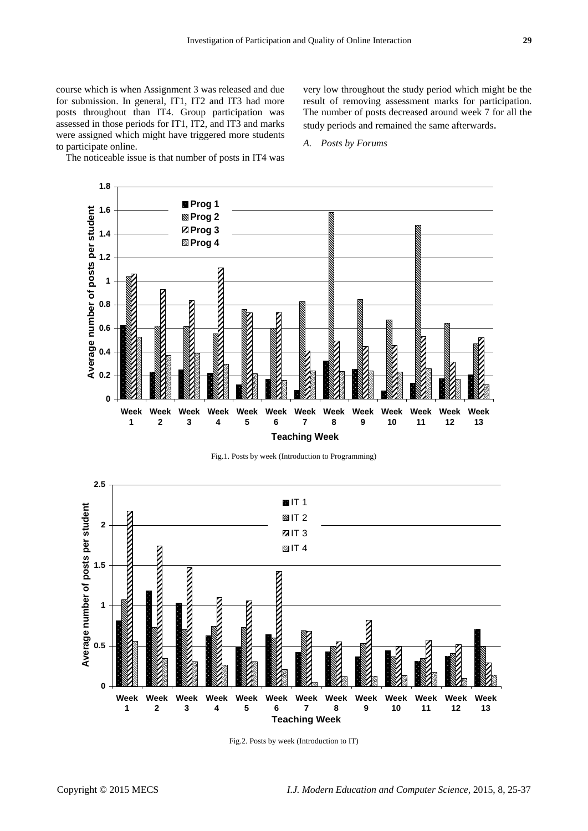course which is when Assignment 3 was released and due for submission. In general, IT1, IT2 and IT3 had more posts throughout than IT4. Group participation was assessed in those periods for IT1, IT2, and IT3 and marks were assigned which might have triggered more students to participate online.

The noticeable issue is that number of posts in IT4 was

very low throughout the study period which might be the result of removing assessment marks for participation. The number of posts decreased around week 7 for all the study periods and remained the same afterwards.

*A. Posts by Forums*



Fig.1. Posts by week (Introduction to Programming)



Fig.2. Posts by week (Introduction to IT)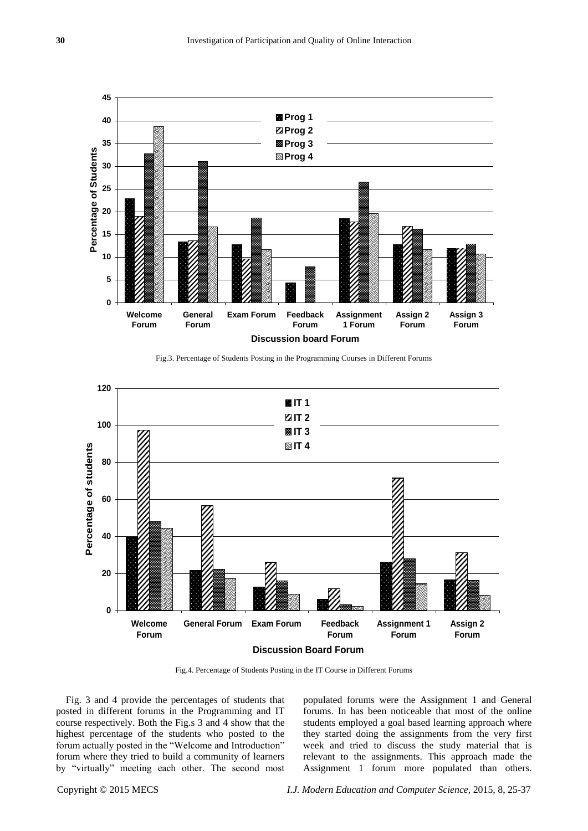

Fig.3. Percentage of Students Posting in the Programming Courses in Different Forums



Fig.4. Percentage of Students Posting in the IT Course in Different Forums

Fig. 3 and 4 provide the percentages of students that posted in different forums in the Programming and IT course respectively. Both the Fig.s 3 and 4 show that the highest percentage of the students who posted to the forum actually posted in the "Welcome and Introduction" forum where they tried to build a community of learners by "virtually" meeting each other. The second most

populated forums were the Assignment 1 and General forums. In has been noticeable that most of the online students employed a goal based learning approach where they started doing the assignments from the very first week and tried to discuss the study material that is relevant to the assignments. This approach made the Assignment 1 forum more populated than others.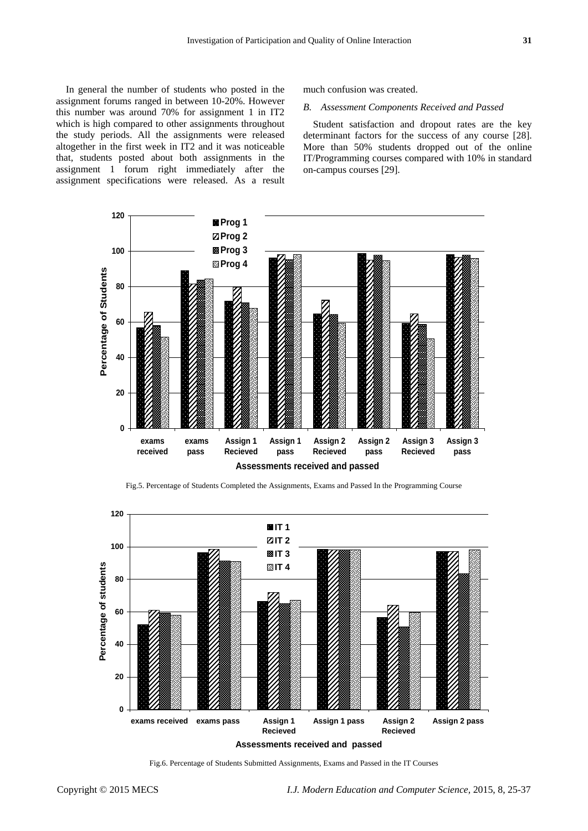In general the number of students who posted in the assignment forums ranged in between 10-20%. However this number was around 70% for assignment 1 in IT2 which is high compared to other assignments throughout the study periods. All the assignments were released altogether in the first week in IT2 and it was noticeable that, students posted about both assignments in the assignment 1 forum right immediately after the assignment specifications were released. As a result much confusion was created.

#### *B. Assessment Components Received and Passed*

Student satisfaction and dropout rates are the key determinant factors for the success of any course [28]. More than 50% students dropped out of the online IT/Programming courses compared with 10% in standard on-campus courses [29].



Fig.5. Percentage of Students Completed the Assignments, Exams and Passed In the Programming Course



Fig.6. Percentage of Students Submitted Assignments, Exams and Passed in the IT Courses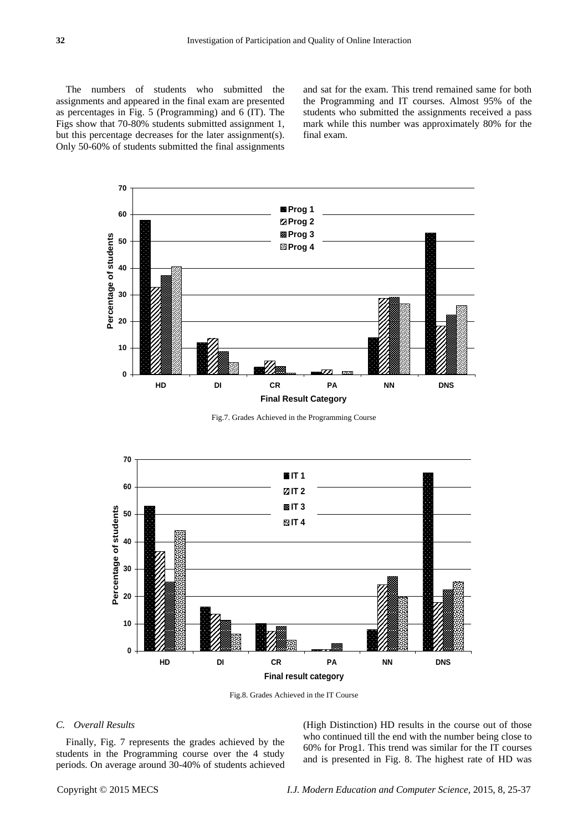The numbers of students who submitted the assignments and appeared in the final exam are presented as percentages in Fig. 5 (Programming) and 6 (IT). The Figs show that 70-80% students submitted assignment 1, but this percentage decreases for the later assignment(s). Only 50-60% of students submitted the final assignments

and sat for the exam. This trend remained same for both the Programming and IT courses. Almost 95% of the students who submitted the assignments received a pass mark while this number was approximately 80% for the final exam.



Fig.7. Grades Achieved in the Programming Course



Fig.8. Grades Achieved in the IT Course

#### *C. Overall Results*

Finally, Fig. 7 represents the grades achieved by the students in the Programming course over the 4 study periods. On average around 30-40% of students achieved (High Distinction) HD results in the course out of those who continued till the end with the number being close to 60% for Prog1. This trend was similar for the IT courses and is presented in Fig. 8. The highest rate of HD was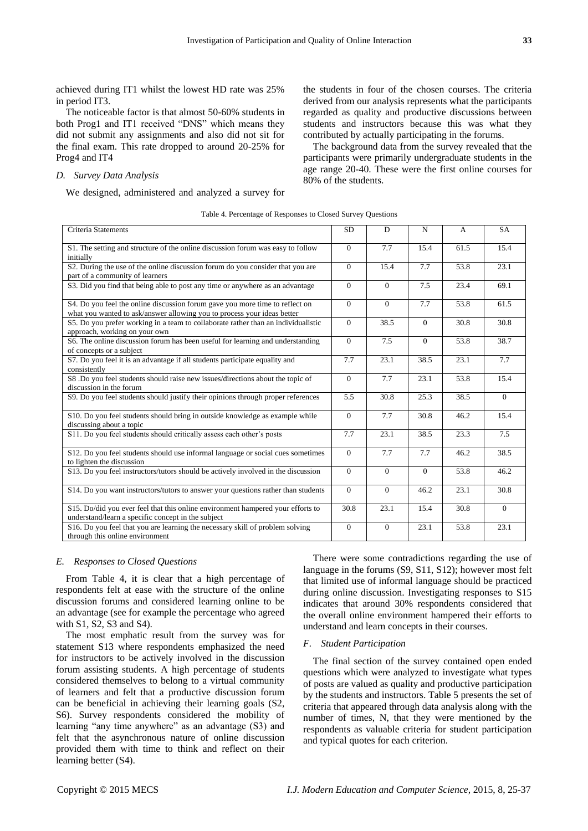achieved during IT1 whilst the lowest HD rate was 25% in period IT3.

The noticeable factor is that almost 50-60% students in both Prog1 and IT1 received "DNS" which means they did not submit any assignments and also did not sit for the final exam. This rate dropped to around 20-25% for Prog4 and IT4

## *D. Survey Data Analysis*

We designed, administered and analyzed a survey for

the students in four of the chosen courses. The criteria derived from our analysis represents what the participants regarded as quality and productive discussions between students and instructors because this was what they contributed by actually participating in the forums.

The background data from the survey revealed that the participants were primarily undergraduate students in the age range 20-40. These were the first online courses for 80% of the students.

|  | Table 4. Percentage of Responses to Closed Survey Questions |  |  |
|--|-------------------------------------------------------------|--|--|
|  |                                                             |  |  |

| Criteria Statements                                                                                                                                     | <b>SD</b>      | D            | N        | $\overline{A}$ | <b>SA</b> |
|---------------------------------------------------------------------------------------------------------------------------------------------------------|----------------|--------------|----------|----------------|-----------|
| S1. The setting and structure of the online discussion forum was easy to follow<br>initially                                                            | $\overline{0}$ | 7.7          | 15.4     | 61.5           | 15.4      |
| S2. During the use of the online discussion forum do you consider that you are<br>part of a community of learners                                       | $\Omega$       | 15.4         | 7.7      | 53.8           | 23.1      |
| S3. Did you find that being able to post any time or anywhere as an advantage                                                                           | $\Omega$       | $\Omega$     | 7.5      | 23.4           | 69.1      |
| S4. Do you feel the online discussion forum gave you more time to reflect on<br>what you wanted to ask/answer allowing you to process your ideas better | $\Omega$       | $\Omega$     | 7.7      | 53.8           | 61.5      |
| S5. Do you prefer working in a team to collaborate rather than an individualistic<br>approach, working on your own                                      | $\overline{0}$ | 38.5         | $\Omega$ | 30.8           | 30.8      |
| S6. The online discussion forum has been useful for learning and understanding<br>of concepts or a subject                                              | $\Omega$       | 7.5          | $\Omega$ | 53.8           | 38.7      |
| S7. Do you feel it is an advantage if all students participate equality and<br>consistently                                                             | 7.7            | 23.1         | 38.5     | 23.1           | 7.7       |
| S8 .Do you feel students should raise new issues/directions about the topic of<br>discussion in the forum                                               | $\Omega$       | 7.7          | 23.1     | 53.8           | 15.4      |
| S9. Do you feel students should justify their opinions through proper references                                                                        | 5.5            | 30.8         | 25.3     | 38.5           | $\Omega$  |
| S10. Do you feel students should bring in outside knowledge as example while<br>discussing about a topic                                                | $\Omega$       | 7.7          | 30.8     | 46.2           | 15.4      |
| S11. Do you feel students should critically assess each other's posts                                                                                   | 7.7            | 23.1         | 38.5     | 23.3           | 7.5       |
| S12. Do you feel students should use informal language or social cues sometimes<br>to lighten the discussion                                            | $\Omega$       | 7.7          | 7.7      | 46.2           | 38.5      |
| S13. Do you feel instructors/tutors should be actively involved in the discussion                                                                       | $\mathbf{0}$   | $\mathbf{0}$ | $\theta$ | 53.8           | 46.2      |
| S14. Do you want instructors/tutors to answer your questions rather than students                                                                       | $\Omega$       | $\Omega$     | 46.2     | 23.1           | 30.8      |
| S15. Do/did you ever feel that this online environment hampered your efforts to<br>understand/learn a specific concept in the subject                   | 30.8           | 23.1         | 15.4     | 30.8           | $\Omega$  |
| S16. Do you feel that you are learning the necessary skill of problem solving<br>through this online environment                                        | $\overline{0}$ | $\mathbf{0}$ | 23.1     | 53.8           | 23.1      |

#### *E. Responses to Closed Questions*

From Table 4, it is clear that a high percentage of respondents felt at ease with the structure of the online discussion forums and considered learning online to be an advantage (see for example the percentage who agreed with S1, S2, S3 and S4).

The most emphatic result from the survey was for statement S13 where respondents emphasized the need for instructors to be actively involved in the discussion forum assisting students. A high percentage of students considered themselves to belong to a virtual community of learners and felt that a productive discussion forum can be beneficial in achieving their learning goals (S2, S6). Survey respondents considered the mobility of learning "any time anywhere" as an advantage (S3) and felt that the asynchronous nature of online discussion provided them with time to think and reflect on their learning better (S4).

There were some contradictions regarding the use of language in the forums (S9, S11, S12); however most felt that limited use of informal language should be practiced during online discussion. Investigating responses to S15 indicates that around 30% respondents considered that the overall online environment hampered their efforts to understand and learn concepts in their courses.

## *F. Student Participation*

The final section of the survey contained open ended questions which were analyzed to investigate what types of posts are valued as quality and productive participation by the students and instructors. Table 5 presents the set of criteria that appeared through data analysis along with the number of times, N, that they were mentioned by the respondents as valuable criteria for student participation and typical quotes for each criterion.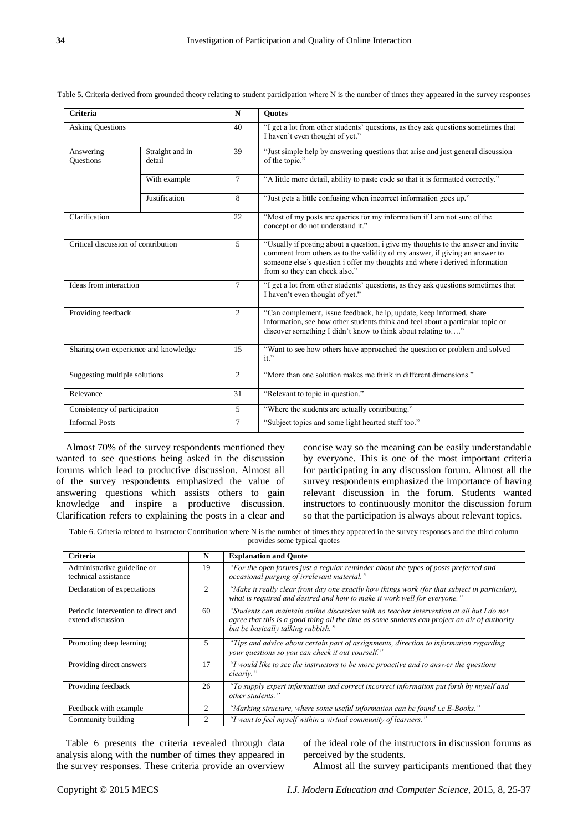| <b>Criteria</b>                                            |               | N              | <b>Ouotes</b>                                                                                                                                                                                                                                                                    |  |
|------------------------------------------------------------|---------------|----------------|----------------------------------------------------------------------------------------------------------------------------------------------------------------------------------------------------------------------------------------------------------------------------------|--|
| <b>Asking Questions</b>                                    |               | 40             | "I get a lot from other students' questions, as they ask questions sometimes that<br>I haven't even thought of yet."                                                                                                                                                             |  |
| Straight and in<br>Answering<br><b>Ouestions</b><br>detail |               | 39             | "Just simple help by answering questions that arise and just general discussion<br>of the topic."                                                                                                                                                                                |  |
|                                                            | With example  | $\tau$         | "A little more detail, ability to paste code so that it is formatted correctly."                                                                                                                                                                                                 |  |
|                                                            | Justification | 8              | "Just gets a little confusing when incorrect information goes up."                                                                                                                                                                                                               |  |
| Clarification                                              |               | 22             | "Most of my posts are queries for my information if I am not sure of the<br>concept or do not understand it."                                                                                                                                                                    |  |
| Critical discussion of contribution                        |               | 5              | "Usually if posting about a question, i give my thoughts to the answer and invite<br>comment from others as to the validity of my answer, if giving an answer to<br>someone else's question i offer my thoughts and where i derived information<br>from so they can check also." |  |
| Ideas from interaction                                     |               | $\overline{7}$ | "I get a lot from other students' questions, as they ask questions sometimes that<br>I haven't even thought of yet."                                                                                                                                                             |  |
| Providing feedback                                         |               | $\overline{2}$ | "Can complement, issue feedback, he lp, update, keep informed, share<br>information, see how other students think and feel about a particular topic or<br>discover something I didn't know to think about relating to"                                                           |  |
| Sharing own experience and knowledge                       |               | 15             | "Want to see how others have approached the question or problem and solved<br>$it.$ "                                                                                                                                                                                            |  |
| Suggesting multiple solutions                              |               | $\overline{2}$ | "More than one solution makes me think in different dimensions."                                                                                                                                                                                                                 |  |
| Relevance                                                  |               | 31             | "Relevant to topic in question."                                                                                                                                                                                                                                                 |  |
| Consistency of participation                               |               | 5              | "Where the students are actually contributing."                                                                                                                                                                                                                                  |  |
| <b>Informal Posts</b>                                      |               | $\overline{7}$ | "Subject topics and some light hearted stuff too."                                                                                                                                                                                                                               |  |

Table 5. Criteria derived from grounded theory relating to student participation where N is the number of times they appeared in the survey responses

Almost 70% of the survey respondents mentioned they wanted to see questions being asked in the discussion forums which lead to productive discussion. Almost all of the survey respondents emphasized the value of answering questions which assists others to gain knowledge and inspire a productive discussion. Clarification refers to explaining the posts in a clear and

concise way so the meaning can be easily understandable by everyone. This is one of the most important criteria for participating in any discussion forum. Almost all the survey respondents emphasized the importance of having relevant discussion in the forum. Students wanted instructors to continuously monitor the discussion forum so that the participation is always about relevant topics.

Table 6. Criteria related to Instructor Contribution where N is the number of times they appeared in the survey responses and the third column provides some typical quotes

| Criteria                                                 | N              | <b>Explanation and Ouote</b>                                                                                                                                                                                                     |
|----------------------------------------------------------|----------------|----------------------------------------------------------------------------------------------------------------------------------------------------------------------------------------------------------------------------------|
| Administrative guideline or<br>technical assistance      | 19             | "For the open forums just a regular reminder about the types of posts preferred and<br>occasional purging of irrelevant material."                                                                                               |
| Declaration of expectations                              | 2              | "Make it really clear from day one exactly how things work (for that subject in particular),<br>what is required and desired and how to make it work well for everyone."                                                         |
| Periodic intervention to direct and<br>extend discussion | 60             | "Students can maintain online discussion with no teacher intervention at all but I do not<br>agree that this is a good thing all the time as some students can project an air of authority<br>but be basically talking rubbish." |
| Promoting deep learning                                  | 5              | "Tips and advice about certain part of assignments, direction to information regarding<br>your questions so you can check it out yourself."                                                                                      |
| Providing direct answers                                 | 17             | "I would like to see the instructors to be more proactive and to answer the questions<br>clearly."                                                                                                                               |
| Providing feedback                                       | 26             | "To supply expert information and correct incorrect information put forth by myself and<br>other students."                                                                                                                      |
| Feedback with example                                    | 2              | "Marking structure, where some useful information can be found <i>i.e E-Books.</i> "                                                                                                                                             |
| Community building                                       | $\overline{c}$ | "I want to feel myself within a virtual community of learners."                                                                                                                                                                  |

Table 6 presents the criteria revealed through data analysis along with the number of times they appeared in the survey responses. These criteria provide an overview

of the ideal role of the instructors in discussion forums as perceived by the students.

Almost all the survey participants mentioned that they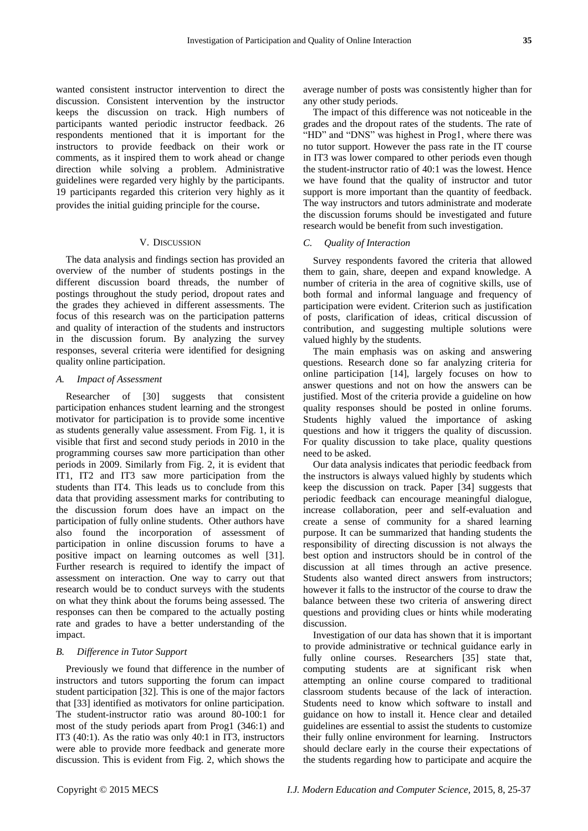wanted consistent instructor intervention to direct the discussion. Consistent intervention by the instructor keeps the discussion on track. High numbers of participants wanted periodic instructor feedback. 26 respondents mentioned that it is important for the instructors to provide feedback on their work or comments, as it inspired them to work ahead or change direction while solving a problem. Administrative guidelines were regarded very highly by the participants. 19 participants regarded this criterion very highly as it provides the initial guiding principle for the course.

#### V. DISCUSSION

The data analysis and findings section has provided an overview of the number of students postings in the different discussion board threads, the number of postings throughout the study period, dropout rates and the grades they achieved in different assessments. The focus of this research was on the participation patterns and quality of interaction of the students and instructors in the discussion forum. By analyzing the survey responses, several criteria were identified for designing quality online participation.

#### *A. Impact of Assessment*

Researcher of [30] suggests that consistent participation enhances student learning and the strongest motivator for participation is to provide some incentive as students generally value assessment. From Fig. 1, it is visible that first and second study periods in 2010 in the programming courses saw more participation than other periods in 2009. Similarly from Fig. 2, it is evident that IT1, IT2 and IT3 saw more participation from the students than IT4. This leads us to conclude from this data that providing assessment marks for contributing to the discussion forum does have an impact on the participation of fully online students. Other authors have also found the incorporation of assessment of participation in online discussion forums to have a positive impact on learning outcomes as well [31]. Further research is required to identify the impact of assessment on interaction. One way to carry out that research would be to conduct surveys with the students on what they think about the forums being assessed. The responses can then be compared to the actually posting rate and grades to have a better understanding of the impact.

## *B. Difference in Tutor Support*

Previously we found that difference in the number of instructors and tutors supporting the forum can impact student participation [32]. This is one of the major factors that [33] identified as motivators for online participation. The student-instructor ratio was around 80-100:1 for most of the study periods apart from Prog1 (346:1) and IT3 (40:1). As the ratio was only 40:1 in IT3, instructors were able to provide more feedback and generate more discussion. This is evident from Fig. 2, which shows the

average number of posts was consistently higher than for any other study periods.

The impact of this difference was not noticeable in the grades and the dropout rates of the students. The rate of "HD" and "DNS" was highest in Prog1, where there was no tutor support. However the pass rate in the IT course in IT3 was lower compared to other periods even though the student-instructor ratio of 40:1 was the lowest. Hence we have found that the quality of instructor and tutor support is more important than the quantity of feedback. The way instructors and tutors administrate and moderate the discussion forums should be investigated and future research would be benefit from such investigation.

#### *C. Quality of Interaction*

Survey respondents favored the criteria that allowed them to gain, share, deepen and expand knowledge. A number of criteria in the area of cognitive skills, use of both formal and informal language and frequency of participation were evident. Criterion such as justification of posts, clarification of ideas, critical discussion of contribution, and suggesting multiple solutions were valued highly by the students.

The main emphasis was on asking and answering questions. Research done so far analyzing criteria for online participation [14], largely focuses on how to answer questions and not on how the answers can be justified. Most of the criteria provide a guideline on how quality responses should be posted in online forums. Students highly valued the importance of asking questions and how it triggers the quality of discussion. For quality discussion to take place, quality questions need to be asked.

Our data analysis indicates that periodic feedback from the instructors is always valued highly by students which keep the discussion on track. Paper [34] suggests that periodic feedback can encourage meaningful dialogue, increase collaboration, peer and self-evaluation and create a sense of community for a shared learning purpose. It can be summarized that handing students the responsibility of directing discussion is not always the best option and instructors should be in control of the discussion at all times through an active presence. Students also wanted direct answers from instructors; however it falls to the instructor of the course to draw the balance between these two criteria of answering direct questions and providing clues or hints while moderating discussion.

Investigation of our data has shown that it is important to provide administrative or technical guidance early in fully online courses. Researchers [35] state that, computing students are at significant risk when attempting an online course compared to traditional classroom students because of the lack of interaction. Students need to know which software to install and guidance on how to install it. Hence clear and detailed guidelines are essential to assist the students to customize their fully online environment for learning. Instructors should declare early in the course their expectations of the students regarding how to participate and acquire the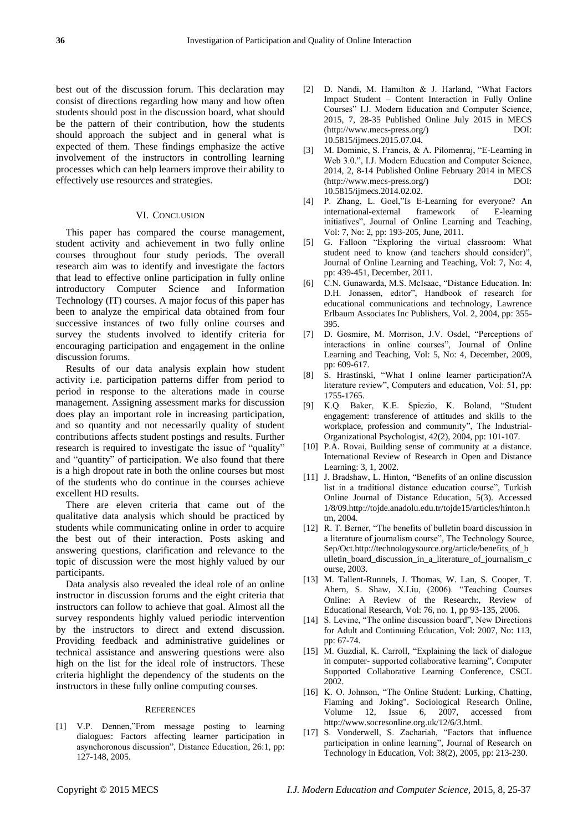best out of the discussion forum. This declaration may consist of directions regarding how many and how often students should post in the discussion board, what should be the pattern of their contribution, how the students should approach the subject and in general what is expected of them. These findings emphasize the active involvement of the instructors in controlling learning processes which can help learners improve their ability to effectively use resources and strategies.

#### VI. CONCLUSION

This paper has compared the course management, student activity and achievement in two fully online courses throughout four study periods. The overall research aim was to identify and investigate the factors that lead to effective online participation in fully online introductory Computer Science and Information Technology (IT) courses. A major focus of this paper has been to analyze the empirical data obtained from four successive instances of two fully online courses and survey the students involved to identify criteria for encouraging participation and engagement in the online discussion forums.

Results of our data analysis explain how student activity i.e. participation patterns differ from period to period in response to the alterations made in course management. Assigning assessment marks for discussion does play an important role in increasing participation, and so quantity and not necessarily quality of student contributions affects student postings and results. Further research is required to investigate the issue of "quality" and "quantity" of participation. We also found that there is a high dropout rate in both the online courses but most of the students who do continue in the courses achieve excellent HD results.

There are eleven criteria that came out of the qualitative data analysis which should be practiced by students while communicating online in order to acquire the best out of their interaction. Posts asking and answering questions, clarification and relevance to the topic of discussion were the most highly valued by our participants.

Data analysis also revealed the ideal role of an online instructor in discussion forums and the eight criteria that instructors can follow to achieve that goal. Almost all the survey respondents highly valued periodic intervention by the instructors to direct and extend discussion. Providing feedback and administrative guidelines or technical assistance and answering questions were also high on the list for the ideal role of instructors. These criteria highlight the dependency of the students on the instructors in these fully online computing courses.

#### **REFERENCES**

[1] V.P. Dennen,"From message posting to learning dialogues: Factors affecting learner participation in asynchoronous discussion", Distance Education, 26:1, pp: 127-148, 2005.

- [2] D. Nandi, M. Hamilton & J. Harland, "What Factors Impact Student – Content Interaction in Fully Online Courses" I.J. Modern Education and Computer Science, 2015, 7, 28-35 Published Online July 2015 in MECS (http://www.mecs-press.org/) DOI: 10.5815/ijmecs.2015.07.04.
- [3] M. Dominic, S. Francis, & A. Pilomenraj, "E-Learning in Web 3.0.", I.J. Modern Education and Computer Science, 2014, 2, 8-14 Published Online February 2014 in MECS (http://www.mecs-press.org/) DOI: 10.5815/ijmecs.2014.02.02.
- [4] P. Zhang, L. Goel,"Is E-Learning for everyone? An international-external framework of E-learning initiatives", Journal of Online Learning and Teaching, Vol: 7, No: 2, pp: 193-205, June, 2011.
- [5] G. Falloon "Exploring the virtual classroom: What student need to know (and teachers should consider)", Journal of Online Learning and Teaching, Vol: 7, No: 4, pp: 439-451, December, 2011.
- [6] C.N. Gunawarda, M.S. McIsaac, "Distance Education. In: D.H. Jonassen, editor", Handbook of research for educational communications and technology, Lawrence Erlbaum Associates Inc Publishers, Vol. 2, 2004, pp: 355- 395.
- [7] D. Gosmire, M. Morrison, J.V. Osdel, "Perceptions of interactions in online courses", Journal of Online Learning and Teaching, Vol: 5, No: 4, December, 2009, pp: 609-617.
- [8] S. Hrastinski, "What I online learner participation?A literature review", Computers and education, Vol: 51, pp: 1755-1765.
- [9] K.Q. Baker, K.E. Spiezio, K. Boland, "Student engagement: transference of attitudes and skills to the workplace, profession and community", The Industrial-Organizational Psychologist, 42(2), 2004, pp: 101-107.
- [10] P.A. Rovai, Building sense of community at a distance. International Review of Research in Open and Distance Learning: 3, 1, 2002.
- [11] J. Bradshaw, L. Hinton, "Benefits of an online discussion list in a traditional distance education course", Turkish Online Journal of Distance Education, 5(3). Accessed 1/8/09.http://tojde.anadolu.edu.tr/tojde15/articles/hinton.h tm, 2004.
- [12] R. T. Berner, "The benefits of bulletin board discussion in a literature of journalism course", The Technology Source, Sep/Oct.http://technologysource.org/article/benefits\_of\_b ulletin\_board\_discussion\_in\_a\_literature\_of\_journalism\_c ourse, 2003.
- [13] M. Tallent-Runnels, J. Thomas, W. Lan, S. Cooper, T. Ahern, S. Shaw, X.Liu, (2006). "Teaching Courses Online: A Review of the Research:, Review of Educational Research, Vol: 76, no. 1, pp 93-135, 2006.
- [14] S. Levine, "The online discussion board", New Directions for Adult and Continuing Education, Vol: 2007, No: 113, pp: 67-74.
- [15] M. Guzdial, K. Carroll, "Explaining the lack of dialogue in computer- supported collaborative learning", Computer Supported Collaborative Learning Conference, CSCL 2002.
- [16] K. O. Johnson, "The Online Student: Lurking, Chatting, Flaming and Joking". Sociological Research Online, Volume 12, Issue 6, 2007, accessed from http://www.socresonline.org.uk/12/6/3.html.
- [17] S. Vonderwell, S. Zachariah, "Factors that influence participation in online learning", Journal of Research on Technology in Education, Vol: 38(2), 2005, pp: 213-230.